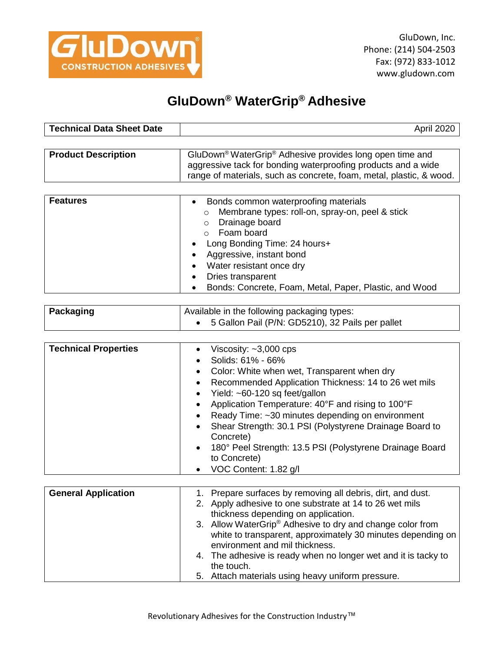

## **GluDown® WaterGrip® Adhesive**

| <b>Technical Data Sheet Date</b> | April 2020                                                                                                                                                                                                               |
|----------------------------------|--------------------------------------------------------------------------------------------------------------------------------------------------------------------------------------------------------------------------|
|                                  |                                                                                                                                                                                                                          |
| <b>Product Description</b>       | GluDown <sup>®</sup> WaterGrip <sup>®</sup> Adhesive provides long open time and<br>aggressive tack for bonding waterproofing products and a wide<br>range of materials, such as concrete, foam, metal, plastic, & wood. |
|                                  |                                                                                                                                                                                                                          |
|                                  |                                                                                                                                                                                                                          |

| <b>Features</b> | Bonds common waterproofing materials<br>$\bullet$<br>Membrane types: roll-on, spray-on, peel & stick<br>$\circ$ |
|-----------------|-----------------------------------------------------------------------------------------------------------------|
|                 | Drainage board<br>$\circ$                                                                                       |
|                 | Foam board                                                                                                      |
|                 | Long Bonding Time: 24 hours+<br>$\bullet$                                                                       |
|                 | Aggressive, instant bond<br>$\bullet$                                                                           |
|                 | Water resistant once dry<br>$\bullet$                                                                           |
|                 | Dries transparent<br>$\bullet$                                                                                  |
|                 | Bonds: Concrete, Foam, Metal, Paper, Plastic, and Wood<br>$\bullet$                                             |

| Packaging | Available in the following packaging types:        |
|-----------|----------------------------------------------------|
|           | • 5 Gallon Pail (P/N: GD5210), 32 Pails per pallet |

| <b>Technical Properties</b> | Viscosity: $~1$ ,000 cps                                             |
|-----------------------------|----------------------------------------------------------------------|
|                             | Solids: 61% - 66%<br>$\bullet$                                       |
|                             | • Color: White when wet, Transparent when dry                        |
|                             | Recommended Application Thickness: 14 to 26 wet mils<br>$\bullet$    |
|                             | • Yield: $~60-120$ sq feet/gallon                                    |
|                             | Application Temperature: 40°F and rising to 100°F<br>$\bullet$       |
|                             | Ready Time: ~30 minutes depending on environment                     |
|                             | Shear Strength: 30.1 PSI (Polystyrene Drainage Board to<br>$\bullet$ |
|                             | Concrete)                                                            |
|                             | • 180° Peel Strength: 13.5 PSI (Polystyrene Drainage Board           |
|                             | to Concrete)                                                         |
|                             | VOC Content: 1.82 g/l<br>$\bullet$                                   |

| <b>General Application</b> | 1. Prepare surfaces by removing all debris, dirt, and dust.           |
|----------------------------|-----------------------------------------------------------------------|
|                            | 2. Apply adhesive to one substrate at 14 to 26 wet mils               |
|                            | thickness depending on application.                                   |
|                            | 3. Allow WaterGrip <sup>®</sup> Adhesive to dry and change color from |
|                            | white to transparent, approximately 30 minutes depending on           |
|                            | environment and mil thickness.                                        |
|                            | 4. The adhesive is ready when no longer wet and it is tacky to        |
|                            | the touch.                                                            |
|                            | 5. Attach materials using heavy uniform pressure.                     |